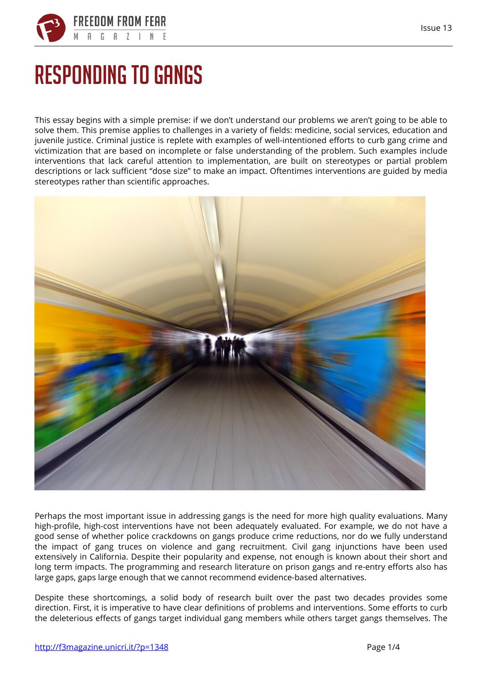

## **Responding to gangs**

This essay begins with a simple premise: if we don't understand our problems we aren't going to be able to solve them. This premise applies to challenges in a variety of fields: medicine, social services, education and juvenile justice. Criminal justice is replete with examples of well-intentioned efforts to curb gang crime and victimization that are based on incomplete or false understanding of the problem. Such examples include interventions that lack careful attention to implementation, are built on stereotypes or partial problem descriptions or lack sufficient "dose size" to make an impact. Oftentimes interventions are guided by media stereotypes rather than scientific approaches.



Perhaps the most important issue in addressing gangs is the need for more high quality evaluations. Many high-profile, high-cost interventions have not been adequately evaluated. For example, we do not have a good sense of whether police crackdowns on gangs produce crime reductions, nor do we fully understand the impact of gang truces on violence and gang recruitment. Civil gang injunctions have been used extensively in California. Despite their popularity and expense, not enough is known about their short and long term impacts. The programming and research literature on prison gangs and re-entry efforts also has large gaps, gaps large enough that we cannot recommend evidence-based alternatives.

Despite these shortcomings, a solid body of research built over the past two decades provides some direction. First, it is imperative to have clear definitions of problems and interventions. Some efforts to curb the deleterious effects of gangs target individual gang members while others target gangs themselves. The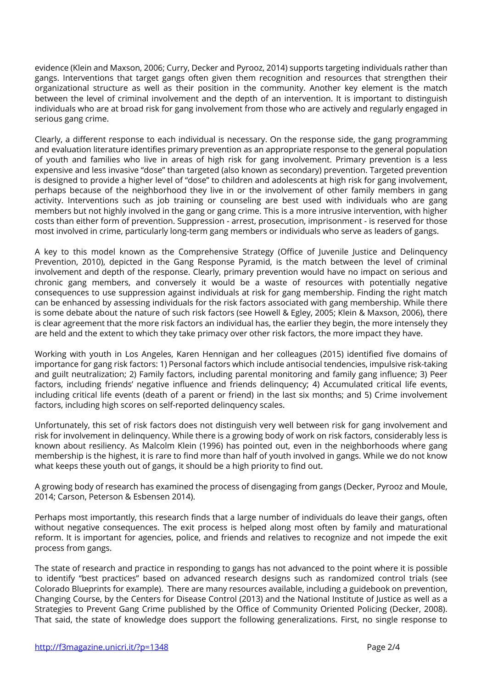evidence (Klein and Maxson, 2006; Curry, Decker and Pyrooz, 2014) supports targeting individuals rather than gangs. Interventions that target gangs often given them recognition and resources that strengthen their organizational structure as well as their position in the community. Another key element is the match between the level of criminal involvement and the depth of an intervention. It is important to distinguish individuals who are at broad risk for gang involvement from those who are actively and regularly engaged in serious gang crime.

Clearly, a different response to each individual is necessary. On the response side, the gang programming and evaluation literature identifies primary prevention as an appropriate response to the general population of youth and families who live in areas of high risk for gang involvement. Primary prevention is a less expensive and less invasive "dose" than targeted (also known as secondary) prevention. Targeted prevention is designed to provide a higher level of "dose" to children and adolescents at high risk for gang involvement, perhaps because of the neighborhood they live in or the involvement of other family members in gang activity. Interventions such as job training or counseling are best used with individuals who are gang members but not highly involved in the gang or gang crime. This is a more intrusive intervention, with higher costs than either form of prevention. Suppression - arrest, prosecution, imprisonment - is reserved for those most involved in crime, particularly long-term gang members or individuals who serve as leaders of gangs.

A key to this model known as the Comprehensive Strategy (Office of Juvenile Justice and Delinquency Prevention, 2010), depicted in the Gang Response Pyramid, is the match between the level of criminal involvement and depth of the response. Clearly, primary prevention would have no impact on serious and chronic gang members, and conversely it would be a waste of resources with potentially negative consequences to use suppression against individuals at risk for gang membership. Finding the right match can be enhanced by assessing individuals for the risk factors associated with gang membership. While there is some debate about the nature of such risk factors (see Howell & Egley, 2005; Klein & Maxson, 2006), there is clear agreement that the more risk factors an individual has, the earlier they begin, the more intensely they are held and the extent to which they take primacy over other risk factors, the more impact they have.

Working with youth in Los Angeles, Karen Hennigan and her colleagues (2015) identified five domains of importance for gang risk factors: 1) Personal factors which include antisocial tendencies, impulsive risk-taking and guilt neutralization; 2) Family factors, including parental monitoring and family gang influence; 3) Peer factors, including friends' negative influence and friends delinquency; 4) Accumulated critical life events, including critical life events (death of a parent or friend) in the last six months; and 5) Crime involvement factors, including high scores on self-reported delinquency scales.

Unfortunately, this set of risk factors does not distinguish very well between risk for gang involvement and risk for involvement in delinquency. While there is a growing body of work on risk factors, considerably less is known about resiliency. As Malcolm Klein (1996) has pointed out, even in the neighborhoods where gang membership is the highest, it is rare to find more than half of youth involved in gangs. While we do not know what keeps these youth out of gangs, it should be a high priority to find out.

A growing body of research has examined the process of disengaging from gangs (Decker, Pyrooz and Moule, 2014; Carson, Peterson & Esbensen 2014).

Perhaps most importantly, this research finds that a large number of individuals do leave their gangs, often without negative consequences. The exit process is helped along most often by family and maturational reform. It is important for agencies, police, and friends and relatives to recognize and not impede the exit process from gangs.

The state of research and practice in responding to gangs has not advanced to the point where it is possible to identify "best practices" based on advanced research designs such as randomized control trials (see Colorado Blueprints for example). There are many resources available, including a guidebook on prevention, Changing Course, by the Centers for Disease Control (2013) and the National Institute of Justice as well as a Strategies to Prevent Gang Crime published by the Office of Community Oriented Policing (Decker, 2008). That said, the state of knowledge does support the following generalizations. First, no single response to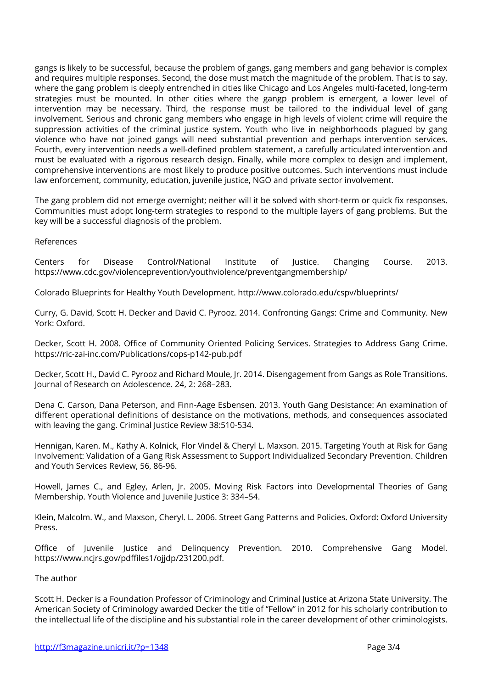gangs is likely to be successful, because the problem of gangs, gang members and gang behavior is complex and requires multiple responses. Second, the dose must match the magnitude of the problem. That is to say, where the gang problem is deeply entrenched in cities like Chicago and Los Angeles multi-faceted, long-term strategies must be mounted. In other cities where the gangp problem is emergent, a lower level of intervention may be necessary. Third, the response must be tailored to the individual level of gang involvement. Serious and chronic gang members who engage in high levels of violent crime will require the suppression activities of the criminal justice system. Youth who live in neighborhoods plagued by gang violence who have not joined gangs will need substantial prevention and perhaps intervention services. Fourth, every intervention needs a well-defined problem statement, a carefully articulated intervention and must be evaluated with a rigorous research design. Finally, while more complex to design and implement, comprehensive interventions are most likely to produce positive outcomes. Such interventions must include law enforcement, community, education, juvenile justice, NGO and private sector involvement.

The gang problem did not emerge overnight; neither will it be solved with short-term or quick fix responses. Communities must adopt long-term strategies to respond to the multiple layers of gang problems. But the key will be a successful diagnosis of the problem.

## **References**

Centers for Disease Control/National Institute of Justice. Changing Course. 2013. https://www.cdc.gov/violenceprevention/youthviolence/preventgangmembership/

Colorado Blueprints for Healthy Youth Development. http://www.colorado.edu/cspv/blueprints/

Curry, G. David, Scott H. Decker and David C. Pyrooz. 2014. Confronting Gangs: Crime and Community. New York: Oxford.

Decker, Scott H. 2008. Office of Community Oriented Policing Services. Strategies to Address Gang Crime. https://ric-zai-inc.com/Publications/cops-p142-pub.pdf

Decker, Scott H., David C. Pyrooz and Richard Moule, Jr. 2014. Disengagement from Gangs as Role Transitions. Journal of Research on Adolescence. 24, 2: 268–283.

Dena C. Carson, Dana Peterson, and Finn-Aage Esbensen. 2013. Youth Gang Desistance: An examination of different operational definitions of desistance on the motivations, methods, and consequences associated with leaving the gang. Criminal Justice Review 38:510-534.

Hennigan, Karen. M., Kathy A. Kolnick, Flor Vindel & Cheryl L. Maxson. 2015. Targeting Youth at Risk for Gang Involvement: Validation of a Gang Risk Assessment to Support Individualized Secondary Prevention. Children and Youth Services Review, 56, 86-96.

Howell, James C., and Egley, Arlen, Jr. 2005. Moving Risk Factors into Developmental Theories of Gang Membership. Youth Violence and Juvenile Justice 3: 334-54.

Klein, Malcolm. W., and Maxson, Cheryl. L. 2006. Street Gang Patterns and Policies. Oxford: Oxford University Press.

Office of Juvenile Justice and Delinquency Prevention. 2010. Comprehensive Gang Model. https://www.ncjrs.gov/pdffiles1/ojjdp/231200.pdf.

## **The author**

Scott H. Decker is a Foundation Professor of Criminology and Criminal Justice at Arizona State University. The American Society of Criminology awarded Decker the title of "Fellow" in 2012 for his scholarly contribution to the intellectual life of the discipline and his substantial role in the career development of other criminologists.